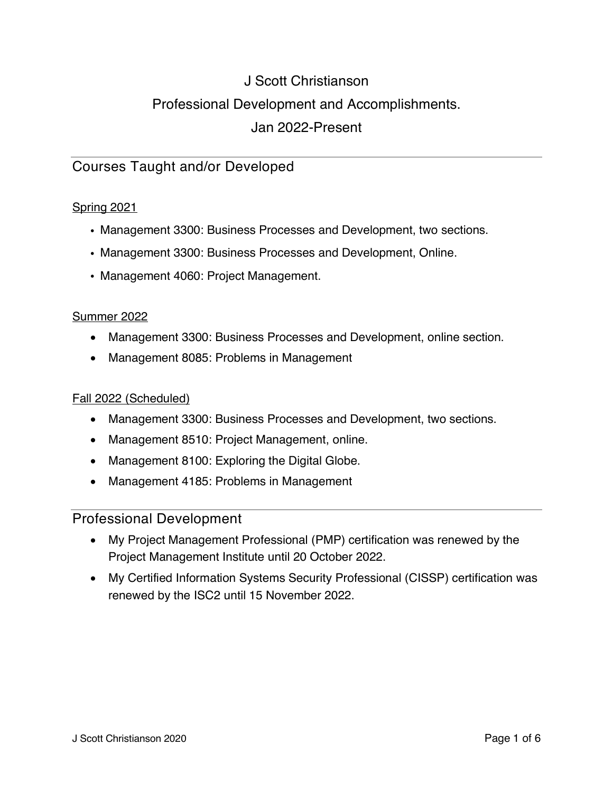# J Scott Christianson Professional Development and Accomplishments. Jan 2022-Present

# Courses Taught and/or Developed

#### Spring 2021

- Management 3300: Business Processes and Development, two sections.
- Management 3300: Business Processes and Development, Online.
- Management 4060: Project Management.

#### Summer 2022

- Management 3300: Business Processes and Development, online section.
- Management 8085: Problems in Management

#### Fall 2022 (Scheduled)

- Management 3300: Business Processes and Development, two sections.
- Management 8510: Project Management, online.
- Management 8100: Exploring the Digital Globe.
- Management 4185: Problems in Management

# Professional Development

- My Project Management Professional (PMP) certification was renewed by the Project Management Institute until 20 October 2022.
- My Certified Information Systems Security Professional (CISSP) certification was renewed by the ISC2 until 15 November 2022.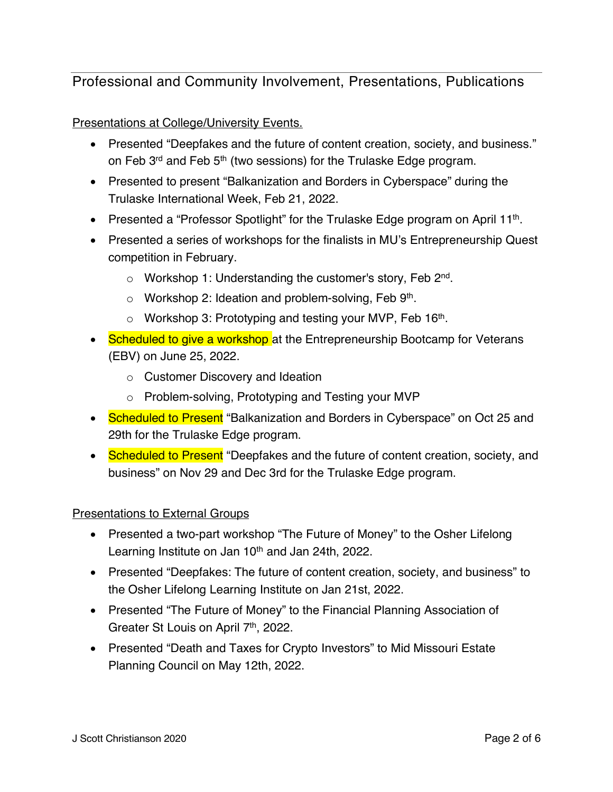Professional and Community Involvement, Presentations, Publications

Presentations at College/University Events.

- Presented "Deepfakes and the future of content creation, society, and business." on Feb 3<sup>rd</sup> and Feb 5<sup>th</sup> (two sessions) for the Trulaske Edge program.
- Presented to present "Balkanization and Borders in Cyberspace" during the Trulaske International Week, Feb 21, 2022.
- Presented a "Professor Spotlight" for the Trulaske Edge program on April 11<sup>th</sup>.
- Presented a series of workshops for the finalists in MU's Entrepreneurship Quest competition in February.
	- $\circ$  Workshop 1: Understanding the customer's story, Feb 2<sup>nd</sup>.
	- $\circ$  Workshop 2: Ideation and problem-solving, Feb 9<sup>th</sup>.
	- $\circ$  Workshop 3: Prototyping and testing your MVP, Feb 16<sup>th</sup>.
- Scheduled to give a workshop at the Entrepreneurship Bootcamp for Veterans (EBV) on June 25, 2022.
	- o Customer Discovery and Ideation
	- o Problem-solving, Prototyping and Testing your MVP
- Scheduled to Present "Balkanization and Borders in Cyberspace" on Oct 25 and 29th for the Trulaske Edge program.
- Scheduled to Present "Deepfakes and the future of content creation, society, and business" on Nov 29 and Dec 3rd for the Trulaske Edge program.

#### Presentations to External Groups

- Presented a two-part workshop "The Future of Money" to the Osher Lifelong Learning Institute on Jan 10<sup>th</sup> and Jan 24th, 2022.
- Presented "Deepfakes: The future of content creation, society, and business" to the Osher Lifelong Learning Institute on Jan 21st, 2022.
- Presented "The Future of Money" to the Financial Planning Association of Greater St Louis on April 7<sup>th</sup>, 2022.
- Presented "Death and Taxes for Crypto Investors" to Mid Missouri Estate Planning Council on May 12th, 2022.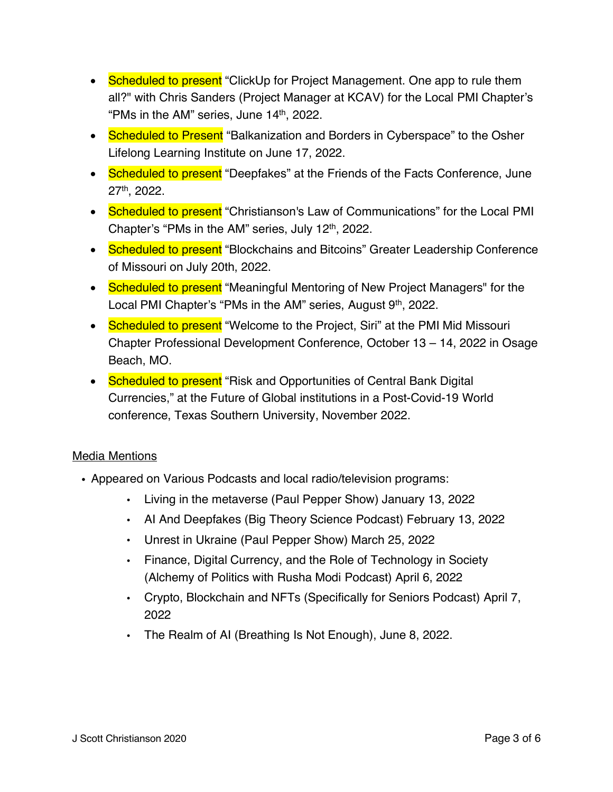- Scheduled to present "ClickUp for Project Management. One app to rule them all?" with Chris Sanders (Project Manager at KCAV) for the Local PMI Chapter's "PMs in the AM" series, June 14<sup>th</sup>, 2022.
- Scheduled to Present "Balkanization and Borders in Cyberspace" to the Osher Lifelong Learning Institute on June 17, 2022.
- Scheduled to present "Deepfakes" at the Friends of the Facts Conference, June 27th, 2022.
- Scheduled to present "Christianson's Law of Communications" for the Local PMI Chapter's "PMs in the AM" series, July 12<sup>th</sup>, 2022.
- Scheduled to present "Blockchains and Bitcoins" Greater Leadership Conference of Missouri on July 20th, 2022.
- Scheduled to present "Meaningful Mentoring of New Project Managers" for the Local PMI Chapter's "PMs in the AM" series, August 9<sup>th</sup>, 2022.
- Scheduled to present "Welcome to the Project, Siri" at the PMI Mid Missouri Chapter Professional Development Conference, October 13 – 14, 2022 in Osage Beach, MO.
- Scheduled to present "Risk and Opportunities of Central Bank Digital Currencies," at the Future of Global institutions in a Post-Covid-19 World conference, Texas Southern University, November 2022.

#### Media Mentions

- . Appeared on Various Podcasts and local radio/television programs:
	- Living in the metaverse (Paul Pepper Show) January 13, 2022
	- AI And Deepfakes (Big Theory Science Podcast) February 13, 2022
	- Unrest in Ukraine (Paul Pepper Show) March 25, 2022
	- Finance, Digital Currency, and the Role of Technology in Society (Alchemy of Politics with Rusha Modi Podcast) April 6, 2022
	- Crypto, Blockchain and NFTs (Specifically for Seniors Podcast) April 7, 2022
	- The Realm of AI (Breathing Is Not Enough), June 8, 2022.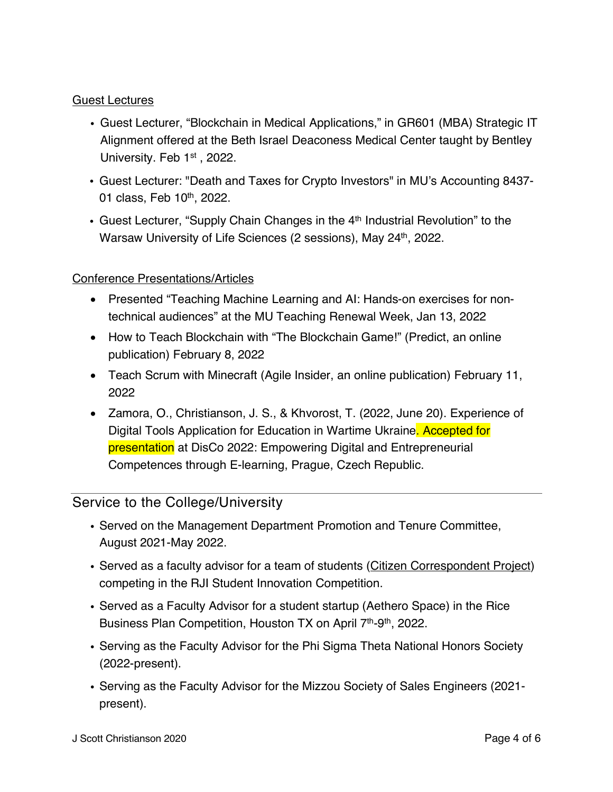#### Guest Lectures

- ! Guest Lecturer, "Blockchain in Medical Applications," in GR601 (MBA) Strategic IT Alignment offered at the Beth Israel Deaconess Medical Center taught by Bentley University. Feb 1<sup>st</sup>, 2022.
- ! Guest Lecturer: "Death and Taxes for Crypto Investors" in MU's Accounting 8437- 01 class, Feb 10<sup>th</sup>, 2022.
- Guest Lecturer, "Supply Chain Changes in the 4<sup>th</sup> Industrial Revolution" to the Warsaw University of Life Sciences (2 sessions), May 24<sup>th</sup>, 2022.

#### Conference Presentations/Articles

- Presented "Teaching Machine Learning and AI: Hands-on exercises for nontechnical audiences" at the MU Teaching Renewal Week, Jan 13, 2022
- How to Teach Blockchain with "The Blockchain Game!" (Predict, an online publication) February 8, 2022
- Teach Scrum with Minecraft (Agile Insider, an online publication) February 11, 2022
- Zamora, O., Christianson, J. S., & Khvorost, T. (2022, June 20). Experience of Digital Tools Application for Education in Wartime Ukraine. Accepted for presentation at DisCo 2022: Empowering Digital and Entrepreneurial Competences through E-learning, Prague, Czech Republic.

# Service to the College/University

- Served on the Management Department Promotion and Tenure Committee, August 2021-May 2022.
- Served as a faculty advisor for a team of students (Citizen Correspondent Project) competing in the RJI Student Innovation Competition.
- ! Served as a Faculty Advisor for a student startup (Aethero Space) in the Rice Business Plan Competition, Houston TX on April 7<sup>th</sup>-9<sup>th</sup>, 2022.
- ! Serving as the Faculty Advisor for the Phi Sigma Theta National Honors Society (2022-present).
- ! Serving as the Faculty Advisor for the Mizzou Society of Sales Engineers (2021 present).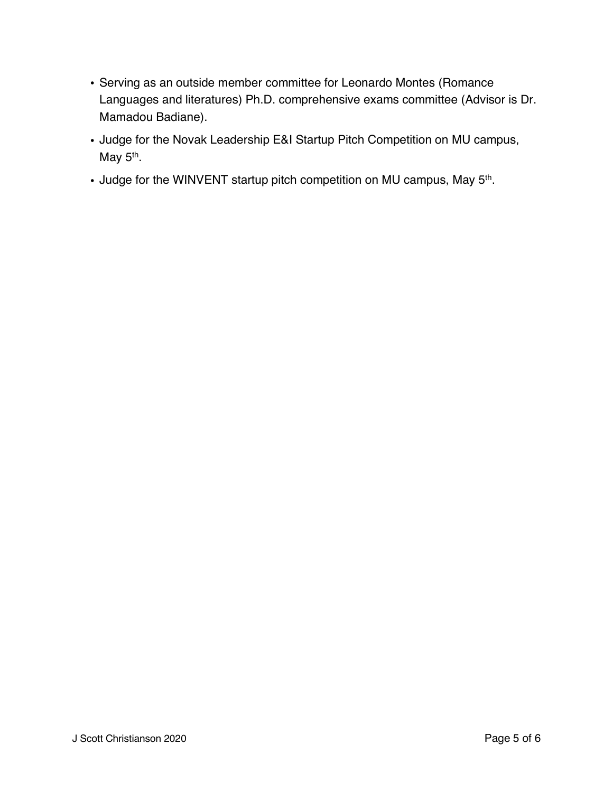- ! Serving as an outside member committee for Leonardo Montes (Romance Languages and literatures) Ph.D. comprehensive exams committee (Advisor is Dr. Mamadou Badiane).
- ! Judge for the Novak Leadership E&I Startup Pitch Competition on MU campus, May  $5<sup>th</sup>$ .
- . Judge for the WINVENT startup pitch competition on MU campus, May 5<sup>th</sup>.